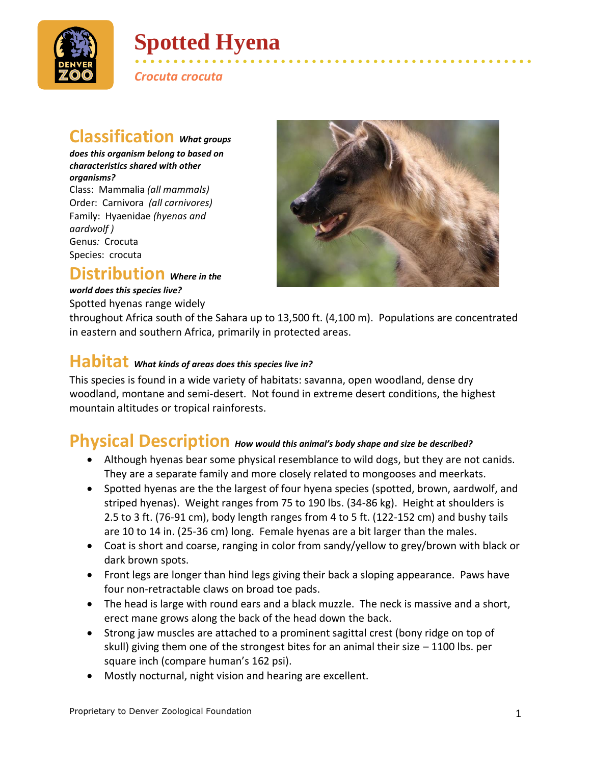

# **Spotted Hyena**

*Crocuta crocuta*

## **Classification** *What groups*

*does this organism belong to based on characteristics shared with other organisms?* Class: Mammalia *(all mammals)* Order: Carnivora *(all carnivores)* Family: Hyaenidae *(hyenas and aardwolf )* Genus*:* Crocuta Species: crocuta

#### **Distribution** *Where in the*

#### *world does this species live?*

Spotted hyenas range widely



• • • • • • • • • • • • • • • • • • • • • • • • • • • • • • • • • • • • • • • • • • • • • • • • • • • •

throughout Africa south of the Sahara up to 13,500 ft. (4,100 m). Populations are concentrated in eastern and southern Africa, primarily in protected areas.

## **Habitat** *What kinds of areas does this species live in?*

This species is found in a wide variety of habitats: savanna, open woodland, dense dry woodland, montane and semi-desert. Not found in extreme desert conditions, the highest mountain altitudes or tropical rainforests.

#### **Physical Description** *How would this animal's body shape and size be described?*

- Although hyenas bear some physical resemblance to wild dogs, but they are not canids. They are a separate family and more closely related to mongooses and meerkats.
- Spotted hyenas are the the largest of four hyena species (spotted, brown, aardwolf, and striped hyenas). Weight ranges from 75 to 190 lbs. (34-86 kg). Height at shoulders is 2.5 to 3 ft. (76-91 cm), body length ranges from 4 to 5 ft. (122-152 cm) and bushy tails are 10 to 14 in. (25-36 cm) long. Female hyenas are a bit larger than the males.
- Coat is short and coarse, ranging in color from sandy/yellow to grey/brown with black or dark brown spots.
- Front legs are longer than hind legs giving their back a sloping appearance. Paws have four non-retractable claws on broad toe pads.
- The head is large with round ears and a black muzzle. The neck is massive and a short, erect mane grows along the back of the head down the back.
- Strong jaw muscles are attached to a prominent sagittal crest (bony ridge on top of skull) giving them one of the strongest bites for an animal their size  $-1100$  lbs. per square inch (compare human's 162 psi).
- Mostly nocturnal, night vision and hearing are excellent.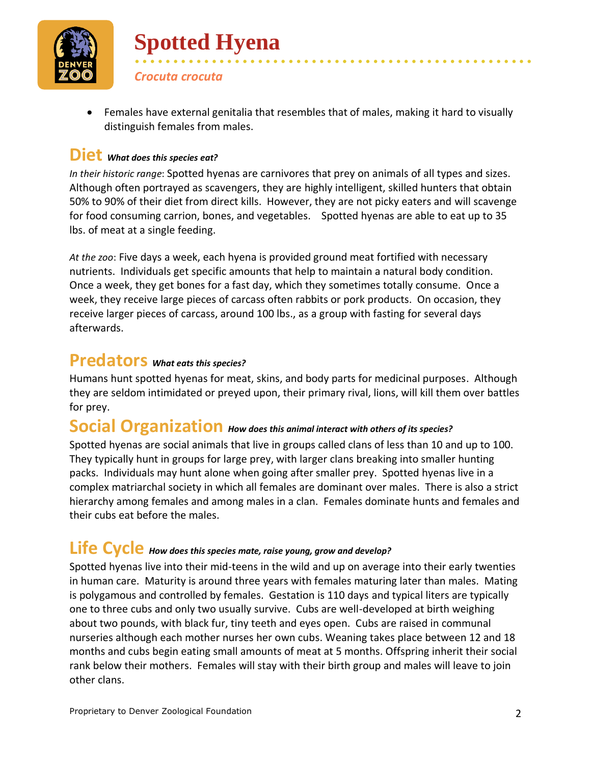

• Females have external genitalia that resembles that of males, making it hard to visually distinguish females from males.

• • • • • • • • • • • • • • • • • • • • • • • • • • • • • • • • • • • • • • • • • • • • • • • • • • • •

#### **Diet** *What does this species eat?*

**Spotted Hyena** 

*Crocuta crocuta*

*In their historic range*: Spotted hyenas are carnivores that prey on animals of all types and sizes. Although often portrayed as scavengers, they are highly intelligent, skilled hunters that obtain 50% to 90% of their diet from direct kills. However, they are not picky eaters and will scavenge for food consuming carrion, bones, and vegetables. Spotted hyenas are able to eat up to 35 lbs. of meat at a single feeding.

*At the zoo*: Five days a week, each hyena is provided ground meat fortified with necessary nutrients. Individuals get specific amounts that help to maintain a natural body condition. Once a week, they get bones for a fast day, which they sometimes totally consume. Once a week, they receive large pieces of carcass often rabbits or pork products. On occasion, they receive larger pieces of carcass, around 100 lbs., as a group with fasting for several days afterwards.

### **Predators** *What eats this species?*

Humans hunt spotted hyenas for meat, skins, and body parts for medicinal purposes. Although they are seldom intimidated or preyed upon, their primary rival, lions, will kill them over battles for prey.

## **Social Organization** *How does this animal interact with others of its species?*

Spotted hyenas are social animals that live in groups called clans of less than 10 and up to 100. They typically hunt in groups for large prey, with larger clans breaking into smaller hunting packs. Individuals may hunt alone when going after smaller prey. Spotted hyenas live in a complex matriarchal society in which all females are dominant over males. There is also a strict hierarchy among females and among males in a clan. Females dominate hunts and females and their cubs eat before the males.

### **Life Cycle** *How does this species mate, raise young, grow and develop?*

Spotted hyenas live into their mid-teens in the wild and up on average into their early twenties in human care. Maturity is around three years with females maturing later than males. Mating is polygamous and controlled by females. Gestation is 110 days and typical liters are typically one to three cubs and only two usually survive. Cubs are well-developed at birth weighing about two pounds, with black fur, tiny teeth and eyes open. Cubs are raised in communal nurseries although each mother nurses her own cubs. Weaning takes place between 12 and 18 months and cubs begin eating small amounts of meat at 5 months. Offspring inherit their social rank below their mothers. Females will stay with their birth group and males will leave to join other clans.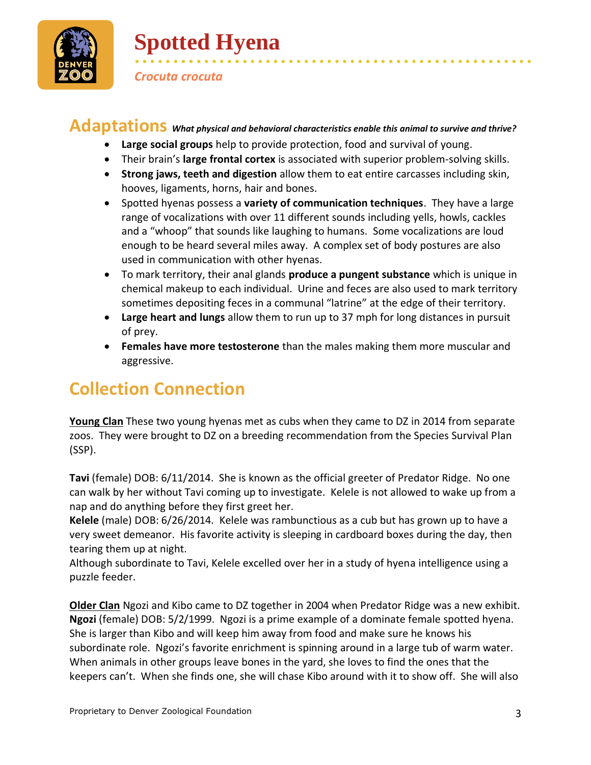

# **Spotted Hyena**

*Crocuta crocuta*

### **Adaptations** *What physical and behavioral characteristics enable this animal to survive and thrive?*

- **Large social groups** help to provide protection, food and survival of young.
- Their brain's **large frontal cortex** is associated with superior problem-solving skills.

• • • • • • • • • • • • • • • • • • • • • • • • • • • • • • • • • • • • • • • • • • • • • • • • • • • •

- **Strong jaws, teeth and digestion** allow them to eat entire carcasses including skin, hooves, ligaments, horns, hair and bones.
- Spotted hyenas possess a **variety of communication techniques**. They have a large range of vocalizations with over 11 different sounds including yells, howls, cackles and a "whoop" that sounds like laughing to humans. Some vocalizations are loud enough to be heard several miles away. A complex set of body postures are also used in communication with other hyenas.
- To mark territory, their anal glands **produce a pungent substance** which is unique in chemical makeup to each individual. Urine and feces are also used to mark territory sometimes depositing feces in a communal "latrine" at the edge of their territory.
- **Large heart and lungs** allow them to run up to 37 mph for long distances in pursuit of prey.
- **Females have more testosterone** than the males making them more muscular and aggressive.

## **Collection Connection**

**Young Clan** These two young hyenas met as cubs when they came to DZ in 2014 from separate zoos. They were brought to DZ on a breeding recommendation from the Species Survival Plan (SSP).

**Tavi** (female) DOB: 6/11/2014. She is known as the official greeter of Predator Ridge. No one can walk by her without Tavi coming up to investigate. Kelele is not allowed to wake up from a nap and do anything before they first greet her.

**Kelele** (male) DOB: 6/26/2014. Kelele was rambunctious as a cub but has grown up to have a very sweet demeanor. His favorite activity is sleeping in cardboard boxes during the day, then tearing them up at night.

Although subordinate to Tavi, Kelele excelled over her in a study of hyena intelligence using a puzzle feeder.

**Older Clan** Ngozi and Kibo came to DZ together in 2004 when Predator Ridge was a new exhibit. **Ngozi** (female) DOB: 5/2/1999. Ngozi is a prime example of a dominate female spotted hyena. She is larger than Kibo and will keep him away from food and make sure he knows his subordinate role. Ngozi's favorite enrichment is spinning around in a large tub of warm water. When animals in other groups leave bones in the yard, she loves to find the ones that the keepers can't. When she finds one, she will chase Kibo around with it to show off. She will also